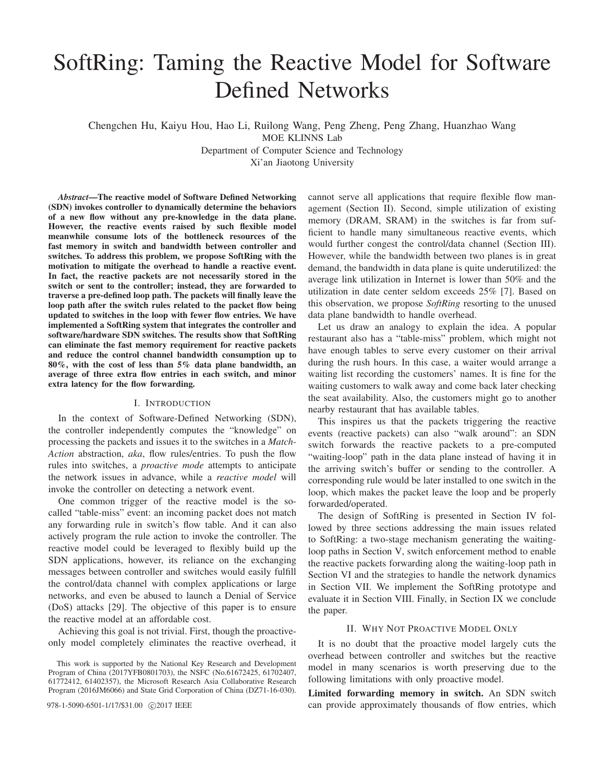# SoftRing: Taming the Reactive Model for Software Defined Networks

Chengchen Hu, Kaiyu Hou, Hao Li, Ruilong Wang, Peng Zheng, Peng Zhang, Huanzhao Wang

MOE KLINNS Lab

Department of Computer Science and Technology

Xi'an Jiaotong University

*Abstract*—The reactive model of Software Defined Networking (SDN) invokes controller to dynamically determine the behaviors of a new flow without any pre-knowledge in the data plane. However, the reactive events raised by such flexible model meanwhile consume lots of the bottleneck resources of the fast memory in switch and bandwidth between controller and switches. To address this problem, we propose SoftRing with the motivation to mitigate the overhead to handle a reactive event. In fact, the reactive packets are not necessarily stored in the switch or sent to the controller; instead, they are forwarded to traverse a pre-defined loop path. The packets will finally leave the loop path after the switch rules related to the packet flow being updated to switches in the loop with fewer flow entries. We have implemented a SoftRing system that integrates the controller and software/hardware SDN switches. The results show that SoftRing can eliminate the fast memory requirement for reactive packets and reduce the control channel bandwidth consumption up to 80%, with the cost of less than 5% data plane bandwidth, an average of three extra flow entries in each switch, and minor extra latency for the flow forwarding.

# I. INTRODUCTION

In the context of Software-Defined Networking (SDN), the controller independently computes the "knowledge" on processing the packets and issues it to the switches in a *Match-Action* abstraction, *aka*, flow rules/entries. To push the flow rules into switches, a *proactive mode* attempts to anticipate the network issues in advance, while a *reactive model* will invoke the controller on detecting a network event.

One common trigger of the reactive model is the socalled "table-miss" event: an incoming packet does not match any forwarding rule in switch's flow table. And it can also actively program the rule action to invoke the controller. The reactive model could be leveraged to flexibly build up the SDN applications, however, its reliance on the exchanging messages between controller and switches would easily fulfill the control/data channel with complex applications or large networks, and even be abused to launch a Denial of Service (DoS) attacks [29]. The objective of this paper is to ensure the reactive model at an affordable cost.

Achieving this goal is not trivial. First, though the proactiveonly model completely eliminates the reactive overhead, it

978-1-5090-6501-1/17/\$31.00 C2017 IEEE

cannot serve all applications that require flexible flow management (Section II). Second, simple utilization of existing memory (DRAM, SRAM) in the switches is far from sufficient to handle many simultaneous reactive events, which would further congest the control/data channel (Section III). However, while the bandwidth between two planes is in great demand, the bandwidth in data plane is quite underutilized: the average link utilization in Internet is lower than 50% and the utilization in date center seldom exceeds 25% [7]. Based on this observation, we propose *SoftRing* resorting to the unused data plane bandwidth to handle overhead.

Let us draw an analogy to explain the idea. A popular restaurant also has a "table-miss" problem, which might not have enough tables to serve every customer on their arrival during the rush hours. In this case, a waiter would arrange a waiting list recording the customers' names. It is fine for the waiting customers to walk away and come back later checking the seat availability. Also, the customers might go to another nearby restaurant that has available tables.

This inspires us that the packets triggering the reactive events (reactive packets) can also "walk around": an SDN switch forwards the reactive packets to a pre-computed "waiting-loop" path in the data plane instead of having it in the arriving switch's buffer or sending to the controller. A corresponding rule would be later installed to one switch in the loop, which makes the packet leave the loop and be properly forwarded/operated.

The design of SoftRing is presented in Section IV followed by three sections addressing the main issues related to SoftRing: a two-stage mechanism generating the waitingloop paths in Section V, switch enforcement method to enable the reactive packets forwarding along the waiting-loop path in Section VI and the strategies to handle the network dynamics in Section VII. We implement the SoftRing prototype and evaluate it in Section VIII. Finally, in Section IX we conclude the paper.

#### II. WHY NOT PROACTIVE MODEL ONLY

It is no doubt that the proactive model largely cuts the overhead between controller and switches but the reactive model in many scenarios is worth preserving due to the following limitations with only proactive model.

Limited forwarding memory in switch. An SDN switch can provide approximately thousands of flow entries, which

This work is supported by the National Key Research and Development Program of China (2017YFB0801703), the NSFC (No.61672425, 61702407, 61772412, 61402357), the Microsoft Research Asia Collaborative Research Program (2016JM6066) and State Grid Corporation of China (DZ71-16-030).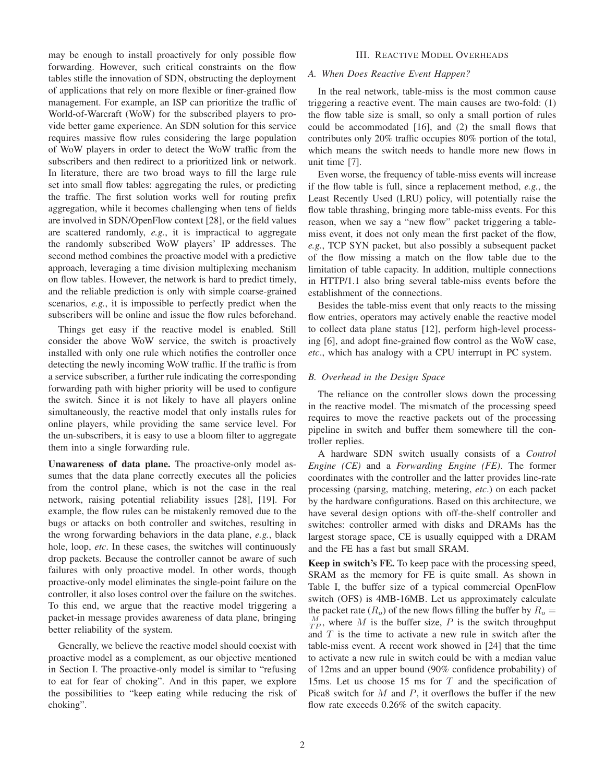may be enough to install proactively for only possible flow forwarding. However, such critical constraints on the flow tables stifle the innovation of SDN, obstructing the deployment of applications that rely on more flexible or finer-grained flow management. For example, an ISP can prioritize the traffic of World-of-Warcraft (WoW) for the subscribed players to provide better game experience. An SDN solution for this service requires massive flow rules considering the large population of WoW players in order to detect the WoW traffic from the subscribers and then redirect to a prioritized link or network. In literature, there are two broad ways to fill the large rule set into small flow tables: aggregating the rules, or predicting the traffic. The first solution works well for routing prefix aggregation, while it becomes challenging when tens of fields are involved in SDN/OpenFlow context [28], or the field values are scattered randomly, *e.g.*, it is impractical to aggregate the randomly subscribed WoW players' IP addresses. The second method combines the proactive model with a predictive approach, leveraging a time division multiplexing mechanism on flow tables. However, the network is hard to predict timely, and the reliable prediction is only with simple coarse-grained scenarios, *e.g.*, it is impossible to perfectly predict when the subscribers will be online and issue the flow rules beforehand.

Things get easy if the reactive model is enabled. Still consider the above WoW service, the switch is proactively installed with only one rule which notifies the controller once detecting the newly incoming WoW traffic. If the traffic is from a service subscriber, a further rule indicating the corresponding forwarding path with higher priority will be used to configure the switch. Since it is not likely to have all players online simultaneously, the reactive model that only installs rules for online players, while providing the same service level. For the un-subscribers, it is easy to use a bloom filter to aggregate them into a single forwarding rule.

Unawareness of data plane. The proactive-only model assumes that the data plane correctly executes all the policies from the control plane, which is not the case in the real network, raising potential reliability issues [28], [19]. For example, the flow rules can be mistakenly removed due to the bugs or attacks on both controller and switches, resulting in the wrong forwarding behaviors in the data plane, *e.g.*, black hole, loop, *etc*. In these cases, the switches will continuously drop packets. Because the controller cannot be aware of such failures with only proactive model. In other words, though proactive-only model eliminates the single-point failure on the controller, it also loses control over the failure on the switches. To this end, we argue that the reactive model triggering a packet-in message provides awareness of data plane, bringing better reliability of the system.

Generally, we believe the reactive model should coexist with proactive model as a complement, as our objective mentioned in Section I. The proactive-only model is similar to "refusing to eat for fear of choking". And in this paper, we explore the possibilities to "keep eating while reducing the risk of choking".

# III. REACTIVE MODEL OVERHEADS

## *A. When Does Reactive Event Happen?*

In the real network, table-miss is the most common cause triggering a reactive event. The main causes are two-fold: (1) the flow table size is small, so only a small portion of rules could be accommodated [16], and (2) the small flows that contributes only 20% traffic occupies 80% portion of the total, which means the switch needs to handle more new flows in unit time [7].

Even worse, the frequency of table-miss events will increase if the flow table is full, since a replacement method, *e.g.*, the Least Recently Used (LRU) policy, will potentially raise the flow table thrashing, bringing more table-miss events. For this reason, when we say a "new flow" packet triggering a tablemiss event, it does not only mean the first packet of the flow, *e.g.*, TCP SYN packet, but also possibly a subsequent packet of the flow missing a match on the flow table due to the limitation of table capacity. In addition, multiple connections in HTTP/1.1 also bring several table-miss events before the establishment of the connections.

Besides the table-miss event that only reacts to the missing flow entries, operators may actively enable the reactive model to collect data plane status [12], perform high-level processing [6], and adopt fine-grained flow control as the WoW case, *etc*., which has analogy with a CPU interrupt in PC system.

#### *B. Overhead in the Design Space*

The reliance on the controller slows down the processing in the reactive model. The mismatch of the processing speed requires to move the reactive packets out of the processing pipeline in switch and buffer them somewhere till the controller replies.

A hardware SDN switch usually consists of a *Control Engine (CE)* and a *Forwarding Engine (FE)*. The former coordinates with the controller and the latter provides line-rate processing (parsing, matching, metering, *etc*.) on each packet by the hardware configurations. Based on this architecture, we have several design options with off-the-shelf controller and switches: controller armed with disks and DRAMs has the largest storage space, CE is usually equipped with a DRAM and the FE has a fast but small SRAM.

Keep in switch's FE. To keep pace with the processing speed, SRAM as the memory for FE is quite small. As shown in Table I, the buffer size of a typical commercial OpenFlow switch (OFS) is 4MB-16MB. Let us approximately calculate the packet rate  $(R_o)$  of the new flows filling the buffer by  $R_o =$  $\frac{M}{TP}$ , where M is the buffer size, P is the switch throughput and  $T$  is the time to activate a new rule in switch after the table-miss event. A recent work showed in [24] that the time to activate a new rule in switch could be with a median value of 12ms and an upper bound (90% confidence probability) of 15ms. Let us choose 15 ms for  $T$  and the specification of Pica8 switch for  $M$  and  $P$ , it overflows the buffer if the new flow rate exceeds 0.26% of the switch capacity.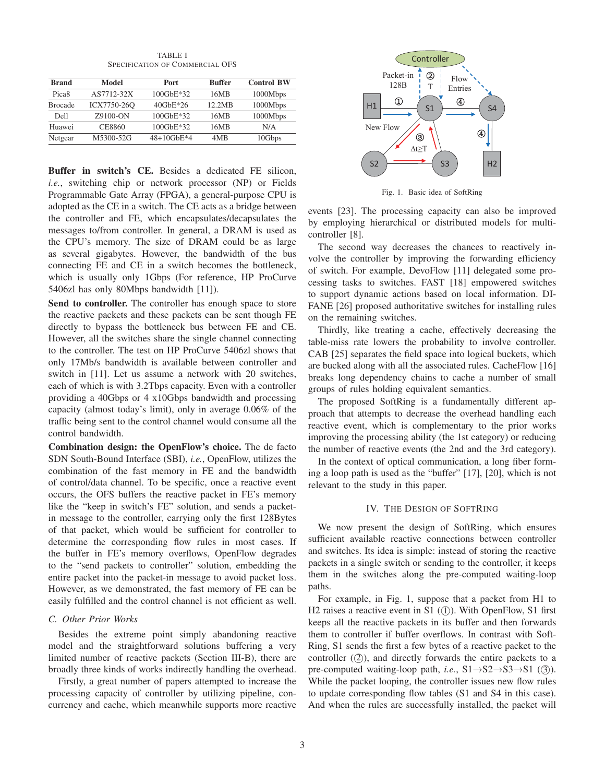TABLE I SPECIFICATION OF COMMERCIAL OFS

| <b>Brand</b>      | Model       | <b>Port</b>     | <b>Buffer</b> | <b>Control BW</b> |
|-------------------|-------------|-----------------|---------------|-------------------|
| Pica <sub>8</sub> | AS7712-32X  | $100$ GbE $*32$ | 16MB          | 1000Mbps          |
| <b>Brocade</b>    | ICX7750-26O | $40$ GbE $*26$  | 12.2MB        | 1000Mbps          |
| Dell              | Z9100-ON    | $100$ GbE $*32$ | 16MB          | 1000Mbps          |
| Huawei            | CE8860      | $100$ GbE $*32$ | 16MB          | N/A               |
| Netgear           | M5300-52G   | $48+10$ GbE*4   | 4MB           | 10Gbps            |
|                   |             |                 |               |                   |

Buffer in switch's CE. Besides a dedicated FE silicon, *i.e.*, switching chip or network processor (NP) or Fields Programmable Gate Array (FPGA), a general-purpose CPU is adopted as the CE in a switch. The CE acts as a bridge between the controller and FE, which encapsulates/decapsulates the messages to/from controller. In general, a DRAM is used as the CPU's memory. The size of DRAM could be as large as several gigabytes. However, the bandwidth of the bus connecting FE and CE in a switch becomes the bottleneck, which is usually only 1Gbps (For reference, HP ProCurve 5406zl has only 80Mbps bandwidth [11]).

Send to controller. The controller has enough space to store the reactive packets and these packets can be sent though FE directly to bypass the bottleneck bus between FE and CE. However, all the switches share the single channel connecting to the controller. The test on HP ProCurve 5406zl shows that only 17Mb/s bandwidth is available between controller and switch in [11]. Let us assume a network with 20 switches, each of which is with 3.2Tbps capacity. Even with a controller providing a 40Gbps or 4 x10Gbps bandwidth and processing capacity (almost today's limit), only in average 0.06% of the traffic being sent to the control channel would consume all the control bandwidth.

Combination design: the OpenFlow's choice. The de facto SDN South-Bound Interface (SBI), *i.e.*, OpenFlow, utilizes the combination of the fast memory in FE and the bandwidth of control/data channel. To be specific, once a reactive event occurs, the OFS buffers the reactive packet in FE's memory like the "keep in switch's FE" solution, and sends a packetin message to the controller, carrying only the first 128Bytes of that packet, which would be sufficient for controller to determine the corresponding flow rules in most cases. If the buffer in FE's memory overflows, OpenFlow degrades to the "send packets to controller" solution, embedding the entire packet into the packet-in message to avoid packet loss. However, as we demonstrated, the fast memory of FE can be easily fulfilled and the control channel is not efficient as well.

## *C. Other Prior Works*

Besides the extreme point simply abandoning reactive model and the straightforward solutions buffering a very limited number of reactive packets (Section III-B), there are broadly three kinds of works indirectly handling the overhead.

Firstly, a great number of papers attempted to increase the processing capacity of controller by utilizing pipeline, concurrency and cache, which meanwhile supports more reactive



Fig. 1. Basic idea of SoftRing

events [23]. The processing capacity can also be improved by employing hierarchical or distributed models for multicontroller [8].

The second way decreases the chances to reactively involve the controller by improving the forwarding efficiency of switch. For example, DevoFlow [11] delegated some processing tasks to switches. FAST [18] empowered switches to support dynamic actions based on local information. DI-FANE [26] proposed authoritative switches for installing rules on the remaining switches.

Thirdly, like treating a cache, effectively decreasing the table-miss rate lowers the probability to involve controller. CAB [25] separates the field space into logical buckets, which are bucked along with all the associated rules. CacheFlow [16] breaks long dependency chains to cache a number of small groups of rules holding equivalent semantics.

The proposed SoftRing is a fundamentally different approach that attempts to decrease the overhead handling each reactive event, which is complementary to the prior works improving the processing ability (the 1st category) or reducing the number of reactive events (the 2nd and the 3rd category).

In the context of optical communication, a long fiber forming a loop path is used as the "buffer" [17], [20], which is not relevant to the study in this paper.

## IV. THE DESIGN OF SOFTRING

We now present the design of SoftRing, which ensures sufficient available reactive connections between controller and switches. Its idea is simple: instead of storing the reactive packets in a single switch or sending to the controller, it keeps them in the switches along the pre-computed waiting-loop paths.

For example, in Fig. 1, suppose that a packet from H1 to H2 raises a reactive event in S1  $(1)$ . With OpenFlow, S1 first keeps all the reactive packets in its buffer and then forwards them to controller if buffer overflows. In contrast with Soft-Ring, S1 sends the first a few bytes of a reactive packet to the controller  $(2)$ , and directly forwards the entire packets to a pre-computed waiting-loop path, *i.e.*, S1→S2→S3→S1 (③). While the packet looping, the controller issues new flow rules to update corresponding flow tables (S1 and S4 in this case). And when the rules are successfully installed, the packet will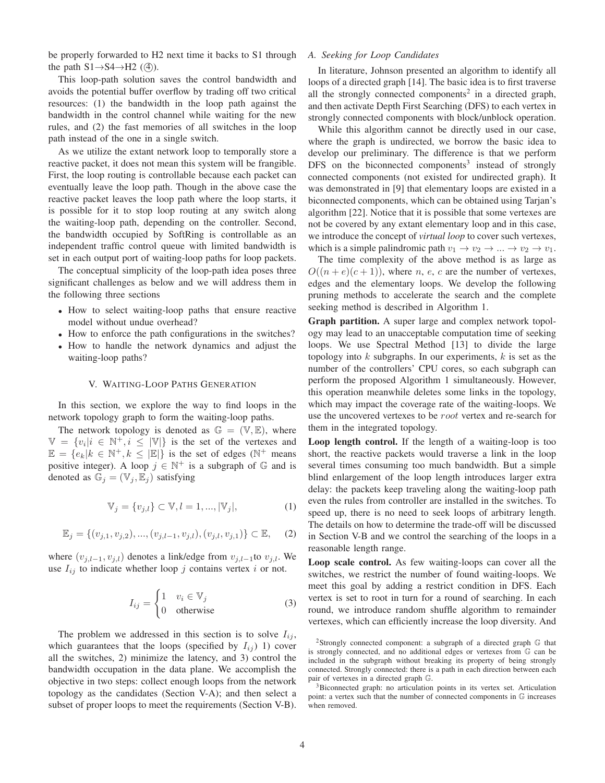be properly forwarded to H2 next time it backs to S1 through the path  $S1 \rightarrow S4 \rightarrow H2$  (4).

This loop-path solution saves the control bandwidth and avoids the potential buffer overflow by trading off two critical resources: (1) the bandwidth in the loop path against the bandwidth in the control channel while waiting for the new rules, and (2) the fast memories of all switches in the loop path instead of the one in a single switch.

As we utilize the extant network loop to temporally store a reactive packet, it does not mean this system will be frangible. First, the loop routing is controllable because each packet can eventually leave the loop path. Though in the above case the reactive packet leaves the loop path where the loop starts, it is possible for it to stop loop routing at any switch along the waiting-loop path, depending on the controller. Second, the bandwidth occupied by SoftRing is controllable as an independent traffic control queue with limited bandwidth is set in each output port of waiting-loop paths for loop packets.

The conceptual simplicity of the loop-path idea poses three significant challenges as below and we will address them in the following three sections

- How to select waiting-loop paths that ensure reactive model without undue overhead?
- How to enforce the path configurations in the switches?
- How to handle the network dynamics and adjust the waiting-loop paths?

## V. WAITING-LOOP PATHS GENERATION

In this section, we explore the way to find loops in the network topology graph to form the waiting-loop paths.

The network topology is denoted as  $\mathbb{G} = (\mathbb{V}, \mathbb{E})$ , where  $\mathbb{V} = \{v_i | i \in \mathbb{N}^+, i \leq |\mathbb{V}| \}$  is the set of the vertexes and  $\mathbb{E} = \{e_k | k \in \mathbb{N}^+, k \leq |\mathbb{E}| \}$  is the set of edges ( $\mathbb{N}^+$  means positive integer). A loop  $j \in \mathbb{N}^+$  is a subgraph of  $\mathbb G$  and is denoted as  $\mathbb{G}_j = (\mathbb{V}_j, \mathbb{E}_j)$  satisfying

$$
\mathbb{V}_{j} = \{v_{j,l}\} \subset \mathbb{V}, l = 1, ..., |\mathbb{V}_{j}|,
$$
\n(1)

$$
\mathbb{E}_j = \{ (v_{j,1}, v_{j,2}), ..., (v_{j,l-1}, v_{j,l}), (v_{j,l}, v_{j,1}) \} \subset \mathbb{E}, \quad (2)
$$

where  $(v_{j,l-1}, v_{j,l})$  denotes a link/edge from  $v_{j,l-1}$ to  $v_{j,l}$ . We use  $I_{ij}$  to indicate whether loop j contains vertex i or not.

$$
I_{ij} = \begin{cases} 1 & v_i \in \mathbb{V}_j \\ 0 & \text{otherwise} \end{cases}
$$
 (3)

The problem we addressed in this section is to solve  $I_{ij}$ , which guarantees that the loops (specified by  $I_{ij}$ ) 1) cover all the switches, 2) minimize the latency, and 3) control the bandwidth occupation in the data plane. We accomplish the objective in two steps: collect enough loops from the network topology as the candidates (Section V-A); and then select a subset of proper loops to meet the requirements (Section V-B).

## *A. Seeking for Loop Candidates*

In literature, Johnson presented an algorithm to identify all loops of a directed graph [14]. The basic idea is to first traverse all the strongly connected components<sup>2</sup> in a directed graph, and then activate Depth First Searching (DFS) to each vertex in strongly connected components with block/unblock operation.

While this algorithm cannot be directly used in our case, where the graph is undirected, we borrow the basic idea to develop our preliminary. The difference is that we perform  $DFS$  on the biconnected components<sup>3</sup> instead of strongly connected components (not existed for undirected graph). It was demonstrated in [9] that elementary loops are existed in a biconnected components, which can be obtained using Tarjan's algorithm [22]. Notice that it is possible that some vertexes are not be covered by any extant elementary loop and in this case, we introduce the concept of *virtual loop* to cover such vertexes, which is a simple palindromic path  $v_1 \rightarrow v_2 \rightarrow ... \rightarrow v_2 \rightarrow v_1$ .

The time complexity of the above method is as large as  $O((n+e)(c+1))$ , where *n*, *e*, *c* are the number of vertexes, edges and the elementary loops. We develop the following pruning methods to accelerate the search and the complete seeking method is described in Algorithm 1.

Graph partition. A super large and complex network topology may lead to an unacceptable computation time of seeking loops. We use Spectral Method [13] to divide the large topology into  $k$  subgraphs. In our experiments,  $k$  is set as the number of the controllers' CPU cores, so each subgraph can perform the proposed Algorithm 1 simultaneously. However, this operation meanwhile deletes some links in the topology, which may impact the coverage rate of the waiting-loops. We use the uncovered vertexes to be root vertex and re-search for them in the integrated topology.

Loop length control. If the length of a waiting-loop is too short, the reactive packets would traverse a link in the loop several times consuming too much bandwidth. But a simple blind enlargement of the loop length introduces larger extra delay: the packets keep traveling along the waiting-loop path even the rules from controller are installed in the switches. To speed up, there is no need to seek loops of arbitrary length. The details on how to determine the trade-off will be discussed in Section V-B and we control the searching of the loops in a reasonable length range.

Loop scale control. As few waiting-loops can cover all the switches, we restrict the number of found waiting-loops. We meet this goal by adding a restrict condition in DFS. Each vertex is set to root in turn for a round of searching. In each round, we introduce random shuffle algorithm to remainder vertexes, which can efficiently increase the loop diversity. And

<sup>&</sup>lt;sup>2</sup>Strongly connected component: a subgraph of a directed graph  $\mathbb G$  that is strongly connected, and no additional edges or vertexes from G can be included in the subgraph without breaking its property of being strongly connected. Strongly connected: there is a path in each direction between each pair of vertexes in a directed graph G.

<sup>&</sup>lt;sup>3</sup>Biconnected graph: no articulation points in its vertex set. Articulation point: a vertex such that the number of connected components in G increases when removed.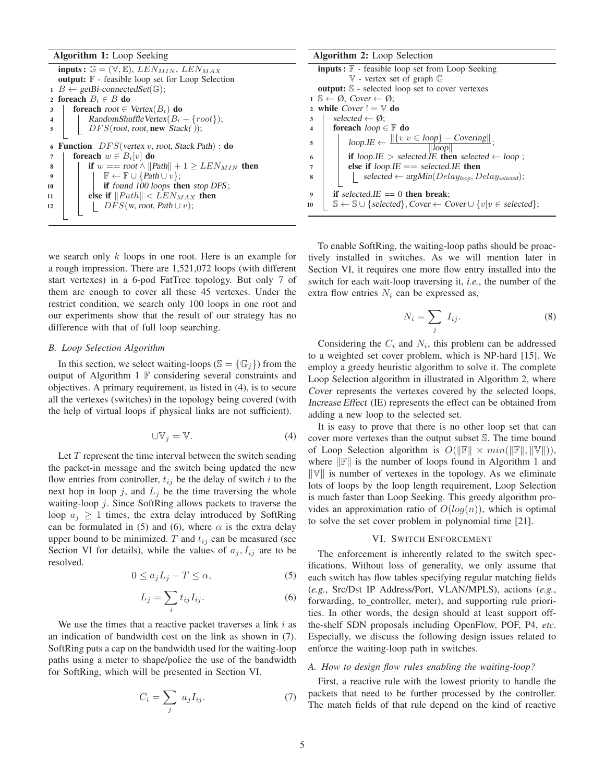# Algorithm 1: Loop Seeking

inputs :  $\mathbb{G} = (\mathbb{V}, \mathbb{E}),$  LEN $_{MIN},$  LEN $_{MAX}$ output: F - feasible loop set for Loop Selection 1 B  $\leftarrow$  getBi-connectedSet( $\mathbb{G}$ ); 2 foreach  $B_i \in B$  do 3 | foreach root  $\in$ 3 **foreach** root  $\in$  Vertex( $B_i$ ) **do**<br>4 **c**  $\in$  RandomShuffleVertex( $B_i$ ) 4 RandomShuffleVertex( $B_i - \{root\};$ <br>5 DFS(root.root.new Stack()): DFS(root, root, new Stack()); 6 Function  $DFS(vertex v, root, Stack Path) :$  do 7 **foreach**  $w \in B_i[v]$  **do**<br>8 **if**  $w == root \wedge ||P||$ 8 if  $w == root \wedge ||Path|| + 1 \geq LEN_{MIN}$  then 9  $\mathbb{F} \leftarrow \mathbb{F} \cup \{Path \cup v\};$ <br>10 if found 100 loops the if found 100 loops then stop DFS; 11 else if  $||Path|| < LEN_{MAX}$  then<br>  $|$  12  $||$   $|$   $DFS(w, root, Path \cup v)$ :  $DFS(w, root, Path \cup v);$ 

we search only k loops in one root. Here is an example for a rough impression. There are 1,521,072 loops (with different start vertexes) in a 6-pod FatTree topology. But only 7 of them are enough to cover all these 45 vertexes. Under the restrict condition, we search only 100 loops in one root and our experiments show that the result of our strategy has no difference with that of full loop searching.

#### *B. Loop Selection Algorithm*

In this section, we select waiting-loops ( $\mathbb{S} = \{\mathbb{G}_j\}$ ) from the output of Algorithm 1  $\mathbb F$  considering several constraints and objectives. A primary requirement, as listed in (4), is to secure all the vertexes (switches) in the topology being covered (with the help of virtual loops if physical links are not sufficient).

$$
\cup \mathbb{V}_j = \mathbb{V}.\tag{4}
$$

Let  $T$  represent the time interval between the switch sending the packet-in message and the switch being updated the new flow entries from controller,  $t_{ij}$  be the delay of switch i to the next hop in loop j, and  $L_j$  be the time traversing the whole waiting-loop j. Since SoftRing allows packets to traverse the loop  $a_j \geq 1$  times, the extra delay introduced by SoftRing can be formulated in (5) and (6), where  $\alpha$  is the extra delay upper bound to be minimized. T and  $t_{ij}$  can be measured (see Section VI for details), while the values of  $a_j, I_{ij}$  are to be resolved.

$$
0 \le a_j L_j - T \le \alpha,\tag{5}
$$

$$
L_j = \sum_i t_{ij} I_{ij}.
$$
 (6)

We use the times that a reactive packet traverses a link  $i$  as an indication of bandwidth cost on the link as shown in (7). SoftRing puts a cap on the bandwidth used for the waiting-loop paths using a meter to shape/police the use of the bandwidth for SoftRing, which will be presented in Section VI.

$$
C_i = \sum_j a_j I_{ij}.\tag{7}
$$

| <b>Algorithm 2:</b> Loop Selection                                                                             |  |
|----------------------------------------------------------------------------------------------------------------|--|
| <b>inputs:</b> $\mathbb{F}$ - feasible loop set from Loop Seeking                                              |  |
| $V$ - vertex set of graph $G$                                                                                  |  |
| <b>output:</b> S - selected loop set to cover vertexes                                                         |  |
| $1 \mathbb{S} \leftarrow \emptyset$ . Cover $\leftarrow \emptyset$ :                                           |  |
| 2 while $Cover := V$ do                                                                                        |  |
| selected $\leftarrow \emptyset$ :<br>3                                                                         |  |
| foreach $loop \in \mathbb{F}$ do<br>$\overline{\mathbf{4}}$                                                    |  |
| $loop.E \leftarrow \frac{  \{v v \in loop\} - Covering  }{  loop  };$<br>5                                     |  |
| if loop.IE > selected.IE then selected $\leftarrow$ loop;<br>6                                                 |  |
| else if $loop.E == selected.E$ then<br>7                                                                       |  |
| selected $\leftarrow \arg Min(Delay_{loop}, Delay_{selected});$<br>8                                           |  |
| if selected. $IE == 0$ then break;<br>9                                                                        |  |
| $\mathbb{S} \leftarrow \mathbb{S} \cup \{ selected\}, Cover \leftarrow Cover \cup \{v v \in selected\};$<br>10 |  |

To enable SoftRing, the waiting-loop paths should be proactively installed in switches. As we will mention later in Section VI, it requires one more flow entry installed into the switch for each wait-loop traversing it, *i.e.*, the number of the extra flow entries  $N_i$  can be expressed as,

$$
N_i = \sum_j I_{ij}.\tag{8}
$$

Considering the  $C_i$  and  $N_i$ , this problem can be addressed to a weighted set cover problem, which is NP-hard [15]. We employ a greedy heuristic algorithm to solve it. The complete Loop Selection algorithm in illustrated in Algorithm 2, where Cover represents the vertexes covered by the selected loops, Increase Effect (IE) represents the effect can be obtained from adding a new loop to the selected set.

It is easy to prove that there is no other loop set that can cover more vertexes than the output subset S. The time bound of Loop Selection algorithm is  $O(||\mathbb{F}|| \times min(||\mathbb{F}||, ||\mathbb{V}||)),$ where  $\|\mathbb{F}\|$  is the number of loops found in Algorithm 1 and  $\|\mathbb{V}\|$  is number of vertexes in the topology. As we eliminate lots of loops by the loop length requirement, Loop Selection is much faster than Loop Seeking. This greedy algorithm provides an approximation ratio of  $O(log(n))$ , which is optimal to solve the set cover problem in polynomial time [21].

## VI. SWITCH ENFORCEMENT

The enforcement is inherently related to the switch specifications. Without loss of generality, we only assume that each switch has flow tables specifying regular matching fields (*e.g.*, Src/Dst IP Address/Port, VLAN/MPLS), actions (*e.g.*, forwarding, to\_controller, meter), and supporting rule priorities. In other words, the design should at least support offthe-shelf SDN proposals including OpenFlow, POF, P4, *etc*. Especially, we discuss the following design issues related to enforce the waiting-loop path in switches.

#### *A. How to design flow rules enabling the waiting-loop?*

First, a reactive rule with the lowest priority to handle the packets that need to be further processed by the controller. The match fields of that rule depend on the kind of reactive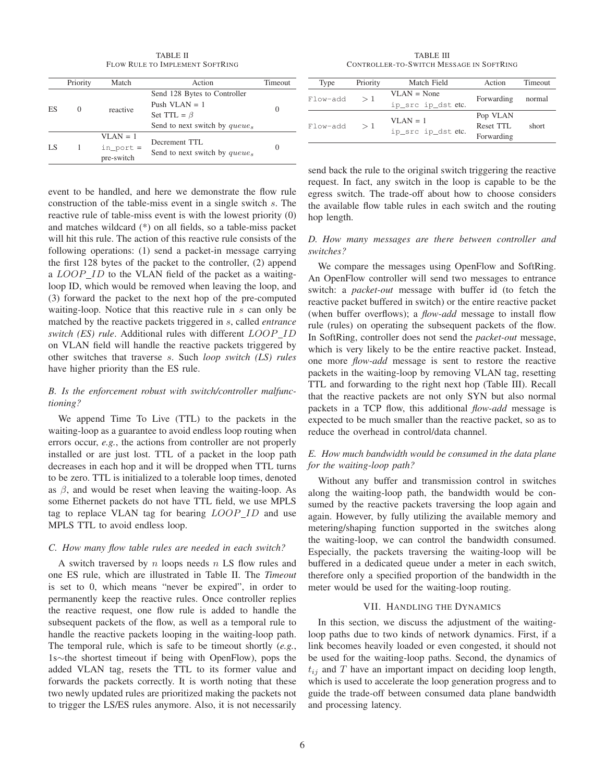TABLE II FLOW RULE TO IMPLEMENT SOFTRING

|    | Priority         | Match                                    | Action                                                               | <b>Timeout</b> |  |
|----|------------------|------------------------------------------|----------------------------------------------------------------------|----------------|--|
| ES | $\left( \right)$ | reactive                                 | Send 128 Bytes to Controller<br>Push VLAN $=$ 1<br>Set TTL = $\beta$ |                |  |
|    |                  |                                          | Send to next switch by queues                                        |                |  |
| LS |                  | $VIAN = 1$<br>$in\_port =$<br>pre-switch | Decrement TTL<br>Send to next switch by queues                       |                |  |

event to be handled, and here we demonstrate the flow rule construction of the table-miss event in a single switch s. The reactive rule of table-miss event is with the lowest priority (0) and matches wildcard (\*) on all fields, so a table-miss packet will hit this rule. The action of this reactive rule consists of the following operations: (1) send a packet-in message carrying the first 128 bytes of the packet to the controller, (2) append a LOOP\_ID to the VLAN field of the packet as a waitingloop ID, which would be removed when leaving the loop, and (3) forward the packet to the next hop of the pre-computed waiting-loop. Notice that this reactive rule in s can only be matched by the reactive packets triggered in s, called *entrance switch (ES) rule*. Additional rules with different LOOP ID on VLAN field will handle the reactive packets triggered by other switches that traverse s. Such *loop switch (LS) rules* have higher priority than the ES rule.

# *B. Is the enforcement robust with switch/controller malfunctioning?*

We append Time To Live (TTL) to the packets in the waiting-loop as a guarantee to avoid endless loop routing when errors occur, *e.g.*, the actions from controller are not properly installed or are just lost. TTL of a packet in the loop path decreases in each hop and it will be dropped when TTL turns to be zero. TTL is initialized to a tolerable loop times, denoted as  $\beta$ , and would be reset when leaving the waiting-loop. As some Ethernet packets do not have TTL field, we use MPLS tag to replace VLAN tag for bearing  $\text{LOOP}$  ID and use MPLS TTL to avoid endless loop.

# *C. How many flow table rules are needed in each switch?*

A switch traversed by  $n$  loops needs  $n$  LS flow rules and one ES rule, which are illustrated in Table II. The *Timeout* is set to 0, which means "never be expired", in order to permanently keep the reactive rules. Once controller replies the reactive request, one flow rule is added to handle the subsequent packets of the flow, as well as a temporal rule to handle the reactive packets looping in the waiting-loop path. The temporal rule, which is safe to be timeout shortly (*e.g.*, 1s∼the shortest timeout if being with OpenFlow), pops the added VLAN tag, resets the TTL to its former value and forwards the packets correctly. It is worth noting that these two newly updated rules are prioritized making the packets not to trigger the LS/ES rules anymore. Also, it is not necessarily

TABLE III CONTROLLER-TO-SWITCH MESSAGE IN SOFTRING

| Type     | Priority | Match Field        | Action     | <b>Timeout</b> |
|----------|----------|--------------------|------------|----------------|
| Flow-add | >1       | $VLAN = None$      | Forwarding | normal         |
|          |          | ip_src ip_dst etc. |            |                |
|          |          | $VI.AN = 1$        | Pop VLAN   |                |
| Flow-add | >1       |                    | Reset TTL  | short          |
|          |          | ip_src ip_dst etc. | Forwarding |                |

send back the rule to the original switch triggering the reactive request. In fact, any switch in the loop is capable to be the egress switch. The trade-off about how to choose considers the available flow table rules in each switch and the routing hop length.

# *D. How many messages are there between controller and switches?*

We compare the messages using OpenFlow and SoftRing. An OpenFlow controller will send two messages to entrance switch: a *packet-out* message with buffer id (to fetch the reactive packet buffered in switch) or the entire reactive packet (when buffer overflows); a *flow-add* message to install flow rule (rules) on operating the subsequent packets of the flow. In SoftRing, controller does not send the *packet-out* message, which is very likely to be the entire reactive packet. Instead, one more *flow-add* message is sent to restore the reactive packets in the waiting-loop by removing VLAN tag, resetting TTL and forwarding to the right next hop (Table III). Recall that the reactive packets are not only SYN but also normal packets in a TCP flow, this additional *flow-add* message is expected to be much smaller than the reactive packet, so as to reduce the overhead in control/data channel.

# *E. How much bandwidth would be consumed in the data plane for the waiting-loop path?*

Without any buffer and transmission control in switches along the waiting-loop path, the bandwidth would be consumed by the reactive packets traversing the loop again and again. However, by fully utilizing the available memory and metering/shaping function supported in the switches along the waiting-loop, we can control the bandwidth consumed. Especially, the packets traversing the waiting-loop will be buffered in a dedicated queue under a meter in each switch, therefore only a specified proportion of the bandwidth in the meter would be used for the waiting-loop routing.

## VII. HANDLING THE DYNAMICS

In this section, we discuss the adjustment of the waitingloop paths due to two kinds of network dynamics. First, if a link becomes heavily loaded or even congested, it should not be used for the waiting-loop paths. Second, the dynamics of  $t_{ij}$  and T have an important impact on deciding loop length, which is used to accelerate the loop generation progress and to guide the trade-off between consumed data plane bandwidth and processing latency.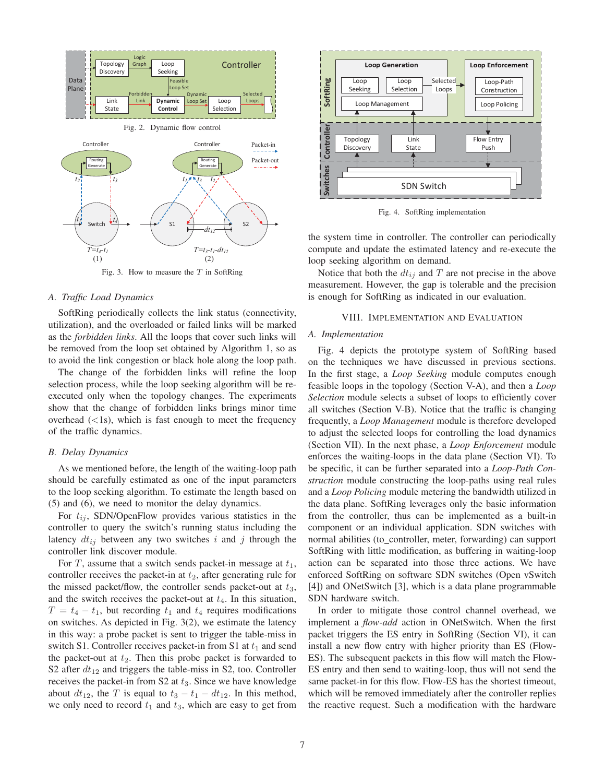

Fig. 3. How to measure the  $T$  in SoftRing

#### *A. Traffic Load Dynamics*

SoftRing periodically collects the link status (connectivity, utilization), and the overloaded or failed links will be marked as the *forbidden links*. All the loops that cover such links will be removed from the loop set obtained by Algorithm 1, so as to avoid the link congestion or black hole along the loop path.

The change of the forbidden links will refine the loop selection process, while the loop seeking algorithm will be reexecuted only when the topology changes. The experiments show that the change of forbidden links brings minor time overhead  $(<1$ s), which is fast enough to meet the frequency of the traffic dynamics.

# *B. Delay Dynamics*

As we mentioned before, the length of the waiting-loop path should be carefully estimated as one of the input parameters to the loop seeking algorithm. To estimate the length based on (5) and (6), we need to monitor the delay dynamics.

For  $t_{ij}$ , SDN/OpenFlow provides various statistics in the controller to query the switch's running status including the latency  $dt_{ij}$  between any two switches i and j through the controller link discover module.

For T, assume that a switch sends packet-in message at  $t_1$ , controller receives the packet-in at  $t_2$ , after generating rule for the missed packet/flow, the controller sends packet-out at  $t_3$ , and the switch receives the packet-out at  $t_4$ . In this situation,  $T = t_4 - t_1$ , but recording  $t_1$  and  $t_4$  requires modifications on switches. As depicted in Fig. 3(2), we estimate the latency in this way: a probe packet is sent to trigger the table-miss in switch S1. Controller receives packet-in from S1 at  $t_1$  and send the packet-out at  $t_2$ . Then this probe packet is forwarded to S2 after  $dt_{12}$  and triggers the table-miss in S2, too. Controller receives the packet-in from  $S2$  at  $t_3$ . Since we have knowledge about  $dt_{12}$ , the T is equal to  $t_3 - t_1 - dt_{12}$ . In this method, we only need to record  $t_1$  and  $t_3$ , which are easy to get from



Fig. 4. SoftRing implementation

the system time in controller. The controller can periodically compute and update the estimated latency and re-execute the loop seeking algorithm on demand.

Notice that both the  $dt_{ij}$  and T are not precise in the above measurement. However, the gap is tolerable and the precision is enough for SoftRing as indicated in our evaluation.

#### VIII. IMPLEMENTATION AND EVALUATION

## *A. Implementation*

Fig. 4 depicts the prototype system of SoftRing based on the techniques we have discussed in previous sections. In the first stage, a *Loop Seeking* module computes enough feasible loops in the topology (Section V-A), and then a *Loop Selection* module selects a subset of loops to efficiently cover all switches (Section V-B). Notice that the traffic is changing frequently, a *Loop Management* module is therefore developed to adjust the selected loops for controlling the load dynamics (Section VII). In the next phase, a *Loop Enforcement* module enforces the waiting-loops in the data plane (Section VI). To be specific, it can be further separated into a *Loop-Path Construction* module constructing the loop-paths using real rules and a *Loop Policing* module metering the bandwidth utilized in the data plane. SoftRing leverages only the basic information from the controller, thus can be implemented as a built-in component or an individual application. SDN switches with normal abilities (to controller, meter, forwarding) can support SoftRing with little modification, as buffering in waiting-loop action can be separated into those three actions. We have enforced SoftRing on software SDN switches (Open vSwitch [4]) and ONetSwitch [3], which is a data plane programmable SDN hardware switch.

In order to mitigate those control channel overhead, we implement a *flow-add* action in ONetSwitch. When the first packet triggers the ES entry in SoftRing (Section VI), it can install a new flow entry with higher priority than ES (Flow-ES). The subsequent packets in this flow will match the Flow-ES entry and then send to waiting-loop, thus will not send the same packet-in for this flow. Flow-ES has the shortest timeout, which will be removed immediately after the controller replies the reactive request. Such a modification with the hardware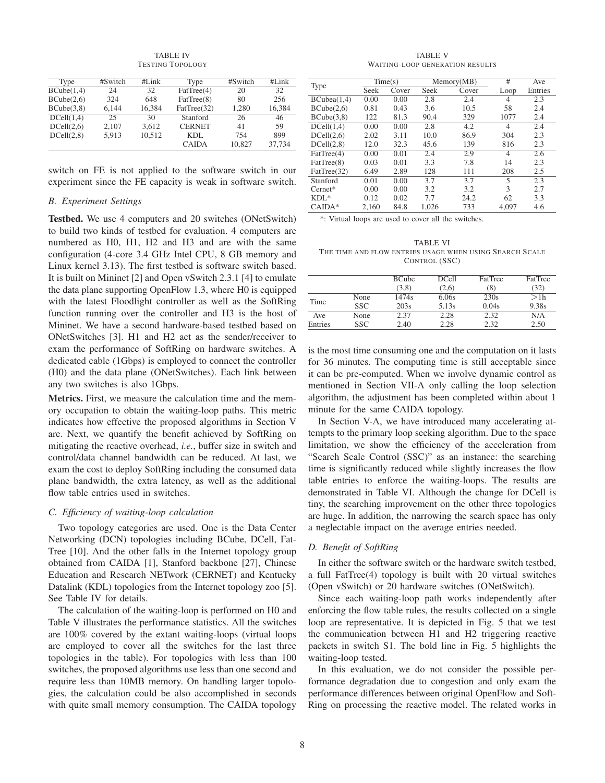TABLE IV TESTING TOPOLOGY

| Type       | #Switch | #Link  | Type          | #Switch | #Link  |
|------------|---------|--------|---------------|---------|--------|
| BCube(1,4) | 24      | 32     | FatTree(4)    | 20      | 32     |
| BCube(2,6) | 324     | 648    | FatTree(8)    | 80      | 256    |
| BCube(3,8) | 6.144   | 16,384 | FatTree(32)   | 1.280   | 16,384 |
| DCell(1,4) | 25      | 30     | Stanford      | 26      | 46     |
| DCell(2,6) | 2.107   | 3.612  | <b>CERNET</b> | 41      | 59     |
| DCell(2,8) | 5.913   | 10,512 | KDL           | 754     | 899    |
|            |         |        | <b>CAIDA</b>  | 10,827  | 37,734 |

switch on FE is not applied to the software switch in our experiment since the FE capacity is weak in software switch.

# *B. Experiment Settings*

Testbed. We use 4 computers and 20 switches (ONetSwitch) to build two kinds of testbed for evaluation. 4 computers are numbered as H0, H1, H2 and H3 and are with the same configuration (4-core 3.4 GHz Intel CPU, 8 GB memory and Linux kernel 3.13). The first testbed is software switch based. It is built on Mininet [2] and Open vSwitch 2.3.1 [4] to emulate the data plane supporting OpenFlow 1.3, where H0 is equipped with the latest Floodlight controller as well as the SoftRing function running over the controller and H3 is the host of Mininet. We have a second hardware-based testbed based on ONetSwitches [3]. H1 and H2 act as the sender/receiver to exam the performance of SoftRing on hardware switches. A dedicated cable (1Gbps) is employed to connect the controller (H0) and the data plane (ONetSwitches). Each link between any two switches is also 1Gbps.

Metrics. First, we measure the calculation time and the memory occupation to obtain the waiting-loop paths. This metric indicates how effective the proposed algorithms in Section V are. Next, we quantify the benefit achieved by SoftRing on mitigating the reactive overhead, *i.e.*, buffer size in switch and control/data channel bandwidth can be reduced. At last, we exam the cost to deploy SoftRing including the consumed data plane bandwidth, the extra latency, as well as the additional flow table entries used in switches.

# *C. Efficiency of waiting-loop calculation*

Two topology categories are used. One is the Data Center Networking (DCN) topologies including BCube, DCell, Fat-Tree [10]. And the other falls in the Internet topology group obtained from CAIDA [1], Stanford backbone [27], Chinese Education and Research NETwork (CERNET) and Kentucky Datalink (KDL) topologies from the Internet topology zoo [5]. See Table IV for details.

The calculation of the waiting-loop is performed on H0 and Table V illustrates the performance statistics. All the switches are 100% covered by the extant waiting-loops (virtual loops are employed to cover all the switches for the last three topologies in the table). For topologies with less than 100 switches, the proposed algorithms use less than one second and require less than 10MB memory. On handling larger topologies, the calculation could be also accomplished in seconds with quite small memory consumption. The CAIDA topology

TABLE V WAITING-LOOP GENERATION RESULTS

|             |       | Time(s)<br>Memory(MB) |       |       | #     | Ave     |
|-------------|-------|-----------------------|-------|-------|-------|---------|
| Type        | Seek  | Cover                 | Seek  | Cover | Loop  | Entries |
| BCubea(1,4) | 0.00  | 0.00                  | 2.8   | 2.4   | 4     | 2.3     |
| BCube(2,6)  | 0.81  | 0.43                  | 3.6   | 10.5  | 58    | 2.4     |
| BCube(3,8)  | 122   | 81.3                  | 90.4  | 329   | 1077  | 2.4     |
| DCell(1,4)  | 0.00  | 0.00                  | 2.8   | 4.2   | 4     | 2.4     |
| DCell(2,6)  | 2.02  | 3.11                  | 10.0  | 86.9  | 304   | 2.3     |
| DCell(2,8)  | 12.0  | 32.3                  | 45.6  | 139   | 816   | 2.3     |
| FatTree(4)  | 0.00  | 0.01                  | 2.4   | 2.9   | 4     | 2.6     |
| FatTree(8)  | 0.03  | 0.01                  | 3.3   | 7.8   | 14    | 2.3     |
| FatTree(32) | 6.49  | 2.89                  | 128   | 111   | 208   | 2.5     |
| Stanford    | 0.01  | 0.00                  | 3.7   | 3.7   | 5     | 2.3     |
| $Cernet*$   | 0.00  | 0.00                  | 3.2   | 3.2   | 3     | 2.7     |
| $KDL*$      | 0.12  | 0.02                  | 7.7   | 24.2  | 62    | 3.3     |
| $CAIDA*$    | 2.160 | 84.8                  | 1.026 | 733   | 4.097 | 4.6     |

\*: Virtual loops are used to cover all the switches.

TABLE VI THE TIME AND FLOW ENTRIES USAGE WHEN USING SEARCH SCALE CONTROL (SSC)

|         |            | <b>BCube</b> | <b>DCell</b> | <b>FatTree</b> | FatTree |
|---------|------------|--------------|--------------|----------------|---------|
|         |            | (3,8)        | (2.6)        | (8)            | (32)    |
| Time    | None       | 1474s        | 6.06s        | 230s           | >1h     |
|         | <b>SSC</b> | 203s         | 5.13s        | 0.04s          | 9.38s   |
| Ave     | None       | 2.37         | 2.28         | 2.32           | N/A     |
| Entries | <b>SSC</b> | 2.40         | 2.28         | 2.32           | 2.50    |

is the most time consuming one and the computation on it lasts for 36 minutes. The computing time is still acceptable since it can be pre-computed. When we involve dynamic control as mentioned in Section VII-A only calling the loop selection algorithm, the adjustment has been completed within about 1 minute for the same CAIDA topology.

In Section V-A, we have introduced many accelerating attempts to the primary loop seeking algorithm. Due to the space limitation, we show the efficiency of the acceleration from "Search Scale Control (SSC)" as an instance: the searching time is significantly reduced while slightly increases the flow table entries to enforce the waiting-loops. The results are demonstrated in Table VI. Although the change for DCell is tiny, the searching improvement on the other three topologies are huge. In addition, the narrowing the search space has only a neglectable impact on the average entries needed.

## *D. Benefit of SoftRing*

In either the software switch or the hardware switch testbed, a full FatTree(4) topology is built with 20 virtual switches (Open vSwitch) or 20 hardware switches (ONetSwitch).

Since each waiting-loop path works independently after enforcing the flow table rules, the results collected on a single loop are representative. It is depicted in Fig. 5 that we test the communication between H1 and H2 triggering reactive packets in switch S1. The bold line in Fig. 5 highlights the waiting-loop tested.

In this evaluation, we do not consider the possible performance degradation due to congestion and only exam the performance differences between original OpenFlow and Soft-Ring on processing the reactive model. The related works in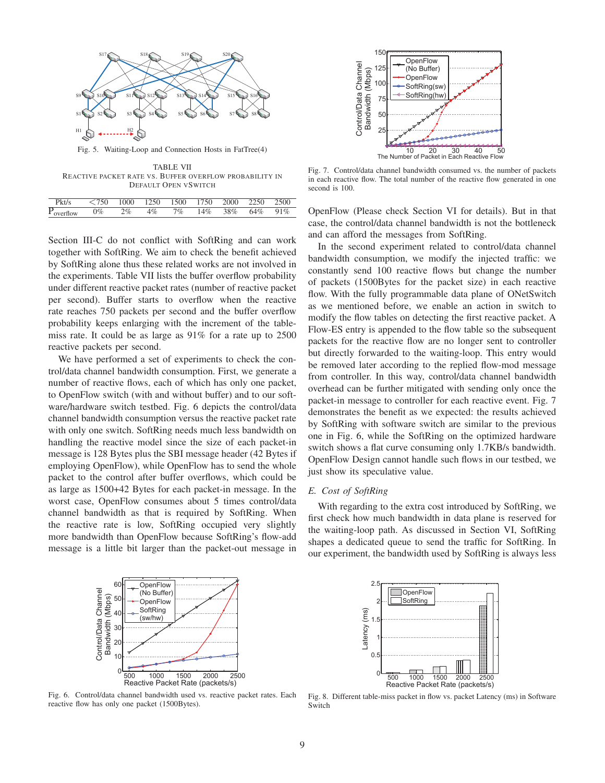

Fig. 5. Waiting-Loop and Connection Hosts in FatTree(4)

TABLE VII REACTIVE PACKET RATE VS. BUFFER OVERFLOW PROBABILITY IN DEFAULT OPEN VSWITCH

| Pkt/s             | $\leq 750$ 1000 1250 1500 1750 2000 2250 |       |       |                         |  | 2500 |
|-------------------|------------------------------------------|-------|-------|-------------------------|--|------|
| $P_{overflow}$ 0% |                                          | $2\%$ | $4\%$ | 7\% 14\% 38\% 64\% 91\% |  |      |

Section III-C do not conflict with SoftRing and can work together with SoftRing. We aim to check the benefit achieved by SoftRing alone thus these related works are not involved in the experiments. Table VII lists the buffer overflow probability under different reactive packet rates (number of reactive packet per second). Buffer starts to overflow when the reactive rate reaches 750 packets per second and the buffer overflow probability keeps enlarging with the increment of the tablemiss rate. It could be as large as 91% for a rate up to 2500 reactive packets per second.

We have performed a set of experiments to check the control/data channel bandwidth consumption. First, we generate a number of reactive flows, each of which has only one packet, to OpenFlow switch (with and without buffer) and to our software/hardware switch testbed. Fig. 6 depicts the control/data channel bandwidth consumption versus the reactive packet rate with only one switch. SoftRing needs much less bandwidth on handling the reactive model since the size of each packet-in message is 128 Bytes plus the SBI message header (42 Bytes if employing OpenFlow), while OpenFlow has to send the whole packet to the control after buffer overflows, which could be as large as 1500+42 Bytes for each packet-in message. In the worst case, OpenFlow consumes about 5 times control/data channel bandwidth as that is required by SoftRing. When the reactive rate is low, SoftRing occupied very slightly more bandwidth than OpenFlow because SoftRing's flow-add message is a little bit larger than the packet-out message in



Fig. 7. Control/data channel bandwidth consumed vs. the number of packets in each reactive flow. The total number of the reactive flow generated in one second is  $100$ .

OpenFlow (Please check Section VI for details). But in that case, the control/data channel bandwidth is not the bottleneck and can afford the messages from SoftRing.

In the second experiment related to control/data channel bandwidth consumption, we modify the injected traffic: we constantly send 100 reactive flows but change the number of packets (1500Bytes for the packet size) in each reactive flow. With the fully programmable data plane of ONetSwitch as we mentioned before, we enable an action in switch to modify the flow tables on detecting the first reactive packet. A Flow-ES entry is appended to the flow table so the subsequent packets for the reactive flow are no longer sent to controller but directly forwarded to the waiting-loop. This entry would be removed later according to the replied flow-mod message from controller. In this way, control/data channel bandwidth overhead can be further mitigated with sending only once the packet-in message to controller for each reactive event. Fig. 7 demonstrates the benefit as we expected: the results achieved by SoftRing with software switch are similar to the previous one in Fig. 6, while the SoftRing on the optimized hardware switch shows a flat curve consuming only 1.7KB/s bandwidth. OpenFlow Design cannot handle such flows in our testbed, we just show its speculative value.

# *E. Cost of SoftRing*

With regarding to the extra cost introduced by SoftRing, we first check how much bandwidth in data plane is reserved for the waiting-loop path. As discussed in Section VI, SoftRing shapes a dedicated queue to send the traffic for SoftRing. In our experiment, the bandwidth used by SoftRing is always less



Fig. 6. Control/data channel bandwidth used vs. reactive packet rates. Each reactive flow has only one packet (1500Bytes).



Fig. 8. Different table-miss packet in flow vs. packet Latency (ms) in Software Switch